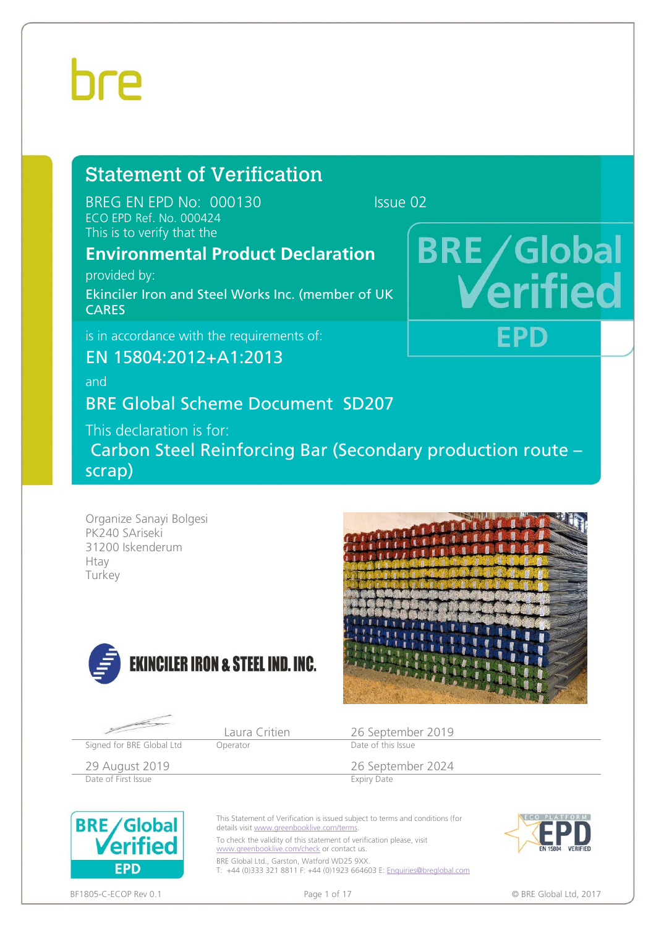# 

# Statement of Verification

BREG EN EPD No: 000130 ECO EPD Ref. No. 000424 This is to verify that the

**BRE** / Global

FPD

## **Environmental Product Declaration**

provided by: Ekinciler Iron and Steel Works Inc. (member of UK CARES

is in accordance with the requirements of:

EN 15804:2012+A1:2013

and

## BRE Global Scheme Document SD207

This declaration is for:

 Carbon Steel Reinforcing Bar (Secondary production route – scrap)

Organize Sanayi Bolgesi PK240 SAriseki 31200 Iskenderum Htay Turkey







29 August 2019<br>
Date of First Issue<br>
Date of First Issue<br>
Expiry Date Date of First Issue

Signed for BRE Global Ltd Operator



This Statement of Verification is issued subject to terms and conditions (for details visit www.greenbooklive.com/terms

To check the validity of this statement of verification please, visit www.greenbooklive.com/check or contact us. BRE Global Ltd., Garston, Watford WD25 9XX.

T: +44 (0)333 321 8811 F: +44 (0)1923 664603 E: Enquiries@breglobal.com



BF1805-C-ECOP Rev 0.1 **Details a contract that the contract of the Page 1 of 17** Contract the Contract of the Contract of the Contract of the Contract of the Contract of the Contract of the Contract of the Contract of the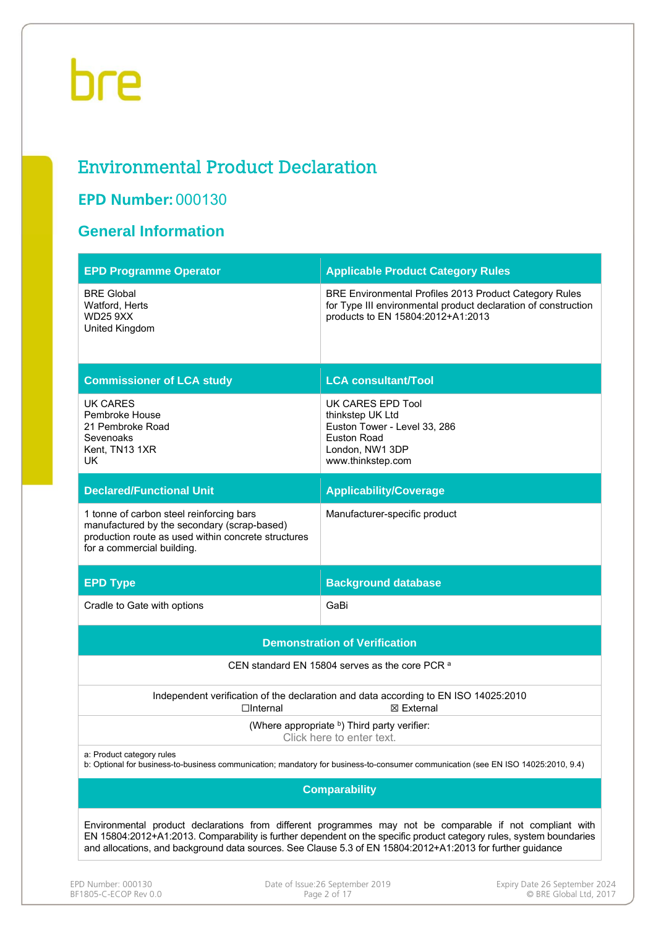## Environmental Product Declaration

## **EPD Number:** 000130

### **General Information**

| <b>EPD Programme Operator</b>                                                                                                                                                | <b>Applicable Product Category Rules</b>                                                                                                                      |
|------------------------------------------------------------------------------------------------------------------------------------------------------------------------------|---------------------------------------------------------------------------------------------------------------------------------------------------------------|
| <b>BRE Global</b><br>Watford, Herts<br><b>WD25 9XX</b><br>United Kingdom                                                                                                     | BRE Environmental Profiles 2013 Product Category Rules<br>for Type III environmental product declaration of construction<br>products to EN 15804:2012+A1:2013 |
| <b>Commissioner of LCA study</b>                                                                                                                                             | <b>LCA consultant/Tool</b>                                                                                                                                    |
| UK CARES<br>Pembroke House<br>21 Pembroke Road<br>Sevenoaks<br>Kent, TN13 1XR<br>UK.                                                                                         | UK CARES EPD Tool<br>thinkstep UK Ltd<br>Euston Tower - Level 33, 286<br><b>Euston Road</b><br>London, NW1 3DP<br>www.thinkstep.com                           |
| <b>Declared/Functional Unit</b>                                                                                                                                              | <b>Applicability/Coverage</b>                                                                                                                                 |
| 1 tonne of carbon steel reinforcing bars<br>manufactured by the secondary (scrap-based)<br>production route as used within concrete structures<br>for a commercial building. | Manufacturer-specific product                                                                                                                                 |
|                                                                                                                                                                              |                                                                                                                                                               |
| <b>EPD Type</b>                                                                                                                                                              | <b>Background database</b>                                                                                                                                    |
| Cradle to Gate with options                                                                                                                                                  | GaBi                                                                                                                                                          |
|                                                                                                                                                                              | <b>Demonstration of Verification</b>                                                                                                                          |
|                                                                                                                                                                              | CEN standard EN 15804 serves as the core PCR <sup>a</sup>                                                                                                     |
| $\Box$ Internal                                                                                                                                                              | Independent verification of the declaration and data according to EN ISO 14025:2010<br>⊠ External                                                             |
|                                                                                                                                                                              | (Where appropriate b) Third party verifier:<br>Click here to enter text.                                                                                      |
| a: Product category rules                                                                                                                                                    | b: Optional for business-to-business communication; mandatory for business-to-consumer communication (see EN ISO 14025:2010, 9.4)                             |
|                                                                                                                                                                              | <b>Comparability</b>                                                                                                                                          |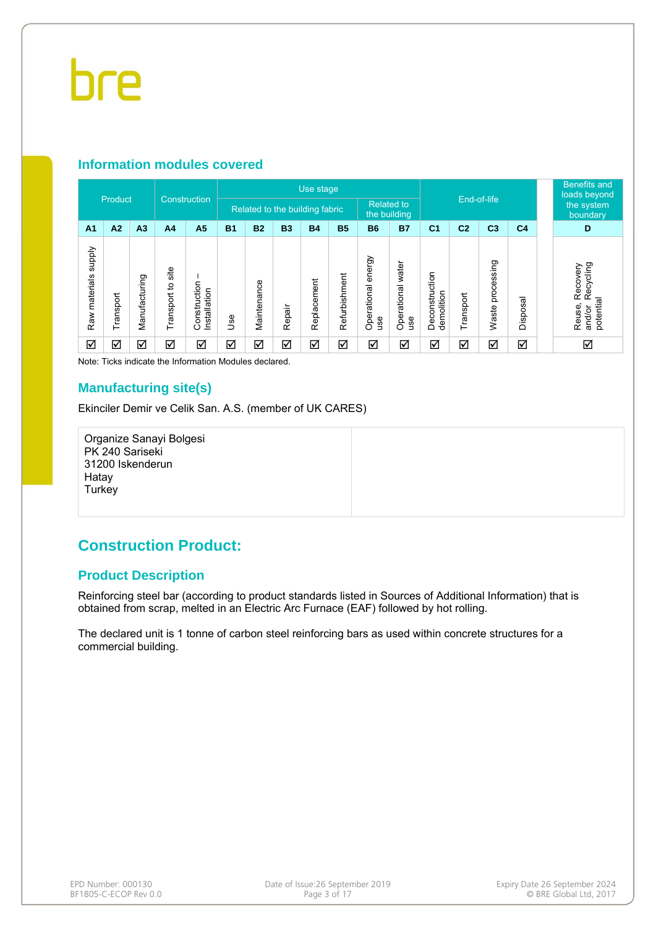#### **Information modules covered**

| Product<br>Construction          |                      |                |                                |                                  |            |             | Use stage                         |             |                        |                                     | End-of-life                     |                              |                | <b>Benefits and</b><br>loads beyond |                |                                                        |
|----------------------------------|----------------------|----------------|--------------------------------|----------------------------------|------------|-------------|-----------------------------------|-------------|------------------------|-------------------------------------|---------------------------------|------------------------------|----------------|-------------------------------------|----------------|--------------------------------------------------------|
|                                  |                      |                | Related to the building fabric |                                  |            |             | <b>Related to</b><br>the building |             | the system<br>boundary |                                     |                                 |                              |                |                                     |                |                                                        |
| A <sub>1</sub>                   | A2                   | A <sub>3</sub> | A <sub>4</sub>                 | A <sub>5</sub>                   | <b>B1</b>  | <b>B2</b>   | <b>B3</b>                         | <b>B4</b>   | <b>B5</b>              | <b>B6</b>                           | <b>B7</b>                       | C <sub>1</sub>               | C <sub>2</sub> | C <sub>3</sub>                      | C <sub>4</sub> | D                                                      |
| <b>Addns</b><br>materials<br>Raw | Transport            | Manufacturing  | site<br>Transport to           | onstruction<br>Installation<br>Ō | <b>Jse</b> | Maintenance | Repair                            | Replacement | Refurbishment          | energy<br>Operational<br><b>use</b> | Operational water<br><b>use</b> | Deconstruction<br>demolition | Transport      | processing<br>Waste                 | Disposal       | Recycling<br>Recovery<br>potential<br>Reuse,<br>and/or |
| ☑                                | $\blacktriangledown$ | ☑              | ☑                              | ☑                                | ☑          | ☑           | ☑                                 | ☑           | ☑                      | ☑                                   | ☑                               | ☑                            | ☑              | ☑                                   | ☑              | ☑                                                      |

Note: Ticks indicate the Information Modules declared.

#### **Manufacturing site(s)**

Ekinciler Demir ve Celik San. A.S. (member of UK CARES)

Organize Sanayi Bolgesi PK 240 Sariseki 31200 Iskenderun Hatay **Turkey** 

### **Construction Product:**

#### **Product Description**

Reinforcing steel bar (according to product standards listed in Sources of Additional Information) that is obtained from scrap, melted in an Electric Arc Furnace (EAF) followed by hot rolling.

The declared unit is 1 tonne of carbon steel reinforcing bars as used within concrete structures for a commercial building.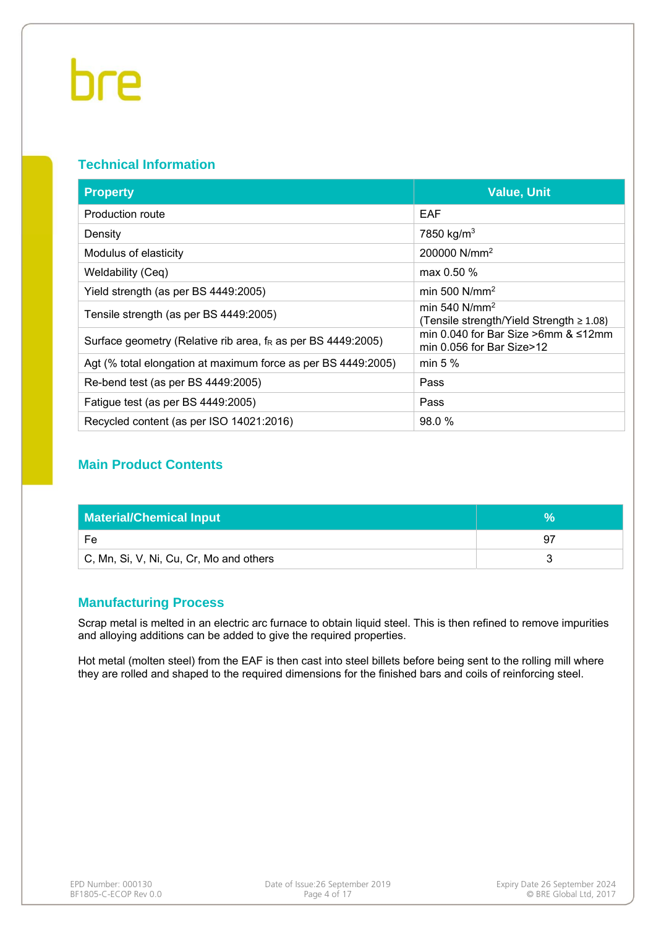#### **Technical Information**

| <b>Property</b>                                                 | <b>Value, Unit</b>                                                      |
|-----------------------------------------------------------------|-------------------------------------------------------------------------|
| Production route                                                | EAF                                                                     |
| Density                                                         | 7850 kg/m <sup>3</sup>                                                  |
| Modulus of elasticity                                           | 200000 N/mm <sup>2</sup>                                                |
| Weldability (Ceq)                                               | max $0.50\%$                                                            |
| Yield strength (as per BS 4449:2005)                            | min 500 $N/mm^2$                                                        |
| Tensile strength (as per BS 4449:2005)                          | min 540 $N/mm^2$<br>(Tensile strength/Yield Strength $\geq 1.08$ )      |
| Surface geometry (Relative rib area, $f_R$ as per BS 4449:2005) | min 0.040 for Bar Size >6mm $&$ ≤12mm<br>min $0.056$ for Bar Size $>12$ |
| Agt (% total elongation at maximum force as per BS 4449:2005)   | min $5%$                                                                |
| Re-bend test (as per BS 4449:2005)                              | Pass                                                                    |
| Fatigue test (as per BS 4449:2005)                              | Pass                                                                    |
| Recycled content (as per ISO 14021:2016)                        | 98.0 %                                                                  |

#### **Main Product Contents**

| <b>Material/Chemical Input</b>          |    |
|-----------------------------------------|----|
| Fe                                      | 97 |
| C, Mn, Si, V, Ni, Cu, Cr, Mo and others |    |

#### **Manufacturing Process**

Scrap metal is melted in an electric arc furnace to obtain liquid steel. This is then refined to remove impurities and alloying additions can be added to give the required properties.

Hot metal (molten steel) from the EAF is then cast into steel billets before being sent to the rolling mill where they are rolled and shaped to the required dimensions for the finished bars and coils of reinforcing steel.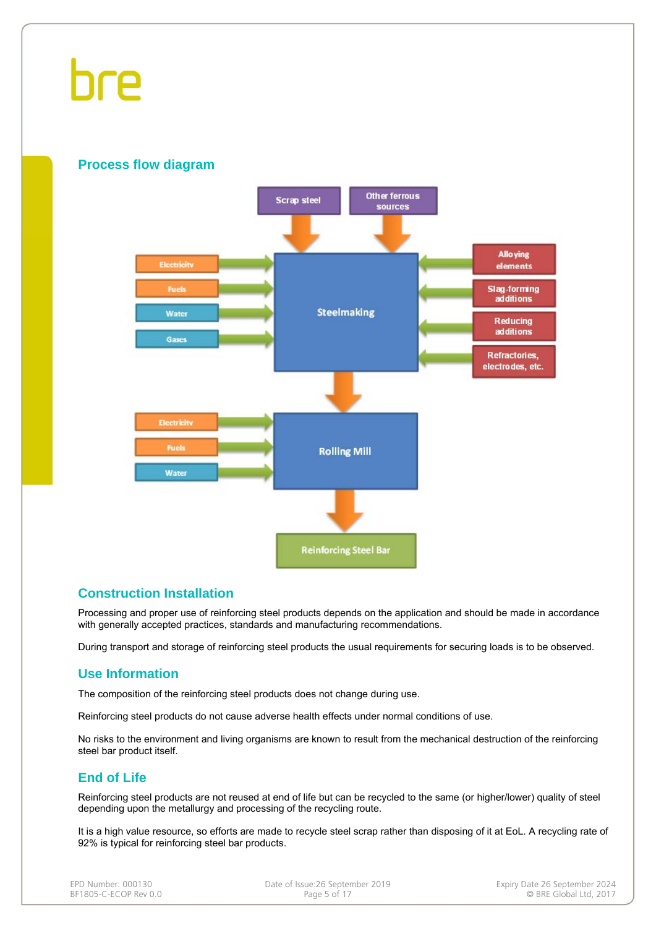#### **Process flow diagram**



#### **Construction Installation**

Processing and proper use of reinforcing steel products depends on the application and should be made in accordance with generally accepted practices, standards and manufacturing recommendations.

During transport and storage of reinforcing steel products the usual requirements for securing loads is to be observed.

#### **Use Information**

The composition of the reinforcing steel products does not change during use.

Reinforcing steel products do not cause adverse health effects under normal conditions of use.

No risks to the environment and living organisms are known to result from the mechanical destruction of the reinforcing steel bar product itself.

### **End of Life**

Reinforcing steel products are not reused at end of life but can be recycled to the same (or higher/lower) quality of steel depending upon the metallurgy and processing of the recycling route.

It is a high value resource, so efforts are made to recycle steel scrap rather than disposing of it at EoL. A recycling rate of 92% is typical for reinforcing steel bar products.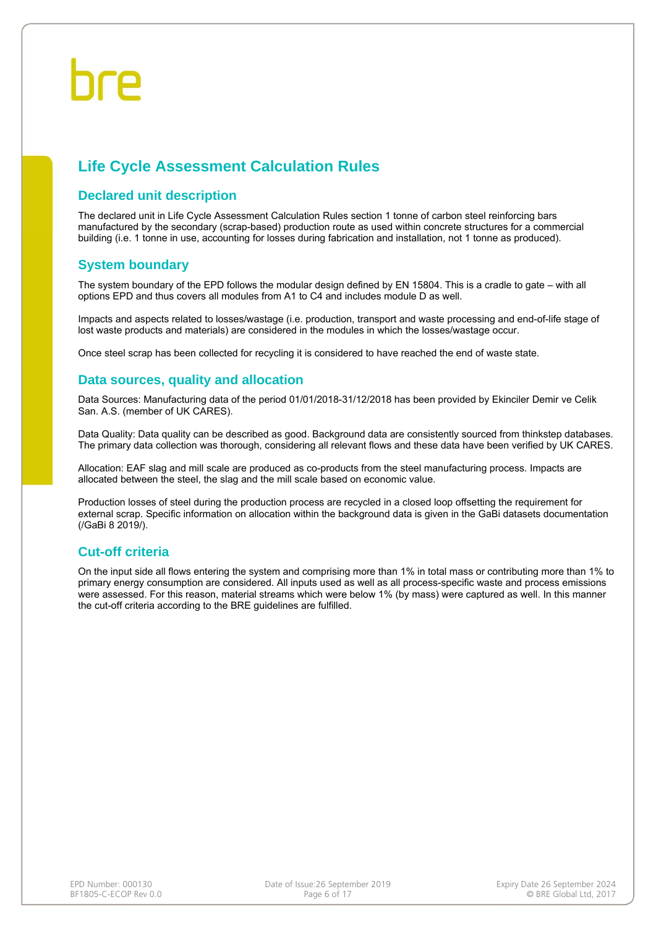## **Life Cycle Assessment Calculation Rules**

#### **Declared unit description**

The declared unit in Life Cycle Assessment Calculation Rules section 1 tonne of carbon steel reinforcing bars manufactured by the secondary (scrap-based) production route as used within concrete structures for a commercial building (i.e. 1 tonne in use, accounting for losses during fabrication and installation, not 1 tonne as produced).

#### **System boundary**

The system boundary of the EPD follows the modular design defined by EN 15804. This is a cradle to gate – with all options EPD and thus covers all modules from A1 to C4 and includes module D as well.

Impacts and aspects related to losses/wastage (i.e. production, transport and waste processing and end-of-life stage of lost waste products and materials) are considered in the modules in which the losses/wastage occur.

Once steel scrap has been collected for recycling it is considered to have reached the end of waste state.

#### **Data sources, quality and allocation**

Data Sources: Manufacturing data of the period 01/01/2018-31/12/2018 has been provided by Ekinciler Demir ve Celik San. A.S. (member of UK CARES).

Data Quality: Data quality can be described as good. Background data are consistently sourced from thinkstep databases. The primary data collection was thorough, considering all relevant flows and these data have been verified by UK CARES.

Allocation: EAF slag and mill scale are produced as co-products from the steel manufacturing process. Impacts are allocated between the steel, the slag and the mill scale based on economic value.

Production losses of steel during the production process are recycled in a closed loop offsetting the requirement for external scrap. Specific information on allocation within the background data is given in the GaBi datasets documentation (/GaBi 8 2019/).

#### **Cut-off criteria**

On the input side all flows entering the system and comprising more than 1% in total mass or contributing more than 1% to primary energy consumption are considered. All inputs used as well as all process-specific waste and process emissions were assessed. For this reason, material streams which were below 1% (by mass) were captured as well. In this manner the cut-off criteria according to the BRE guidelines are fulfilled.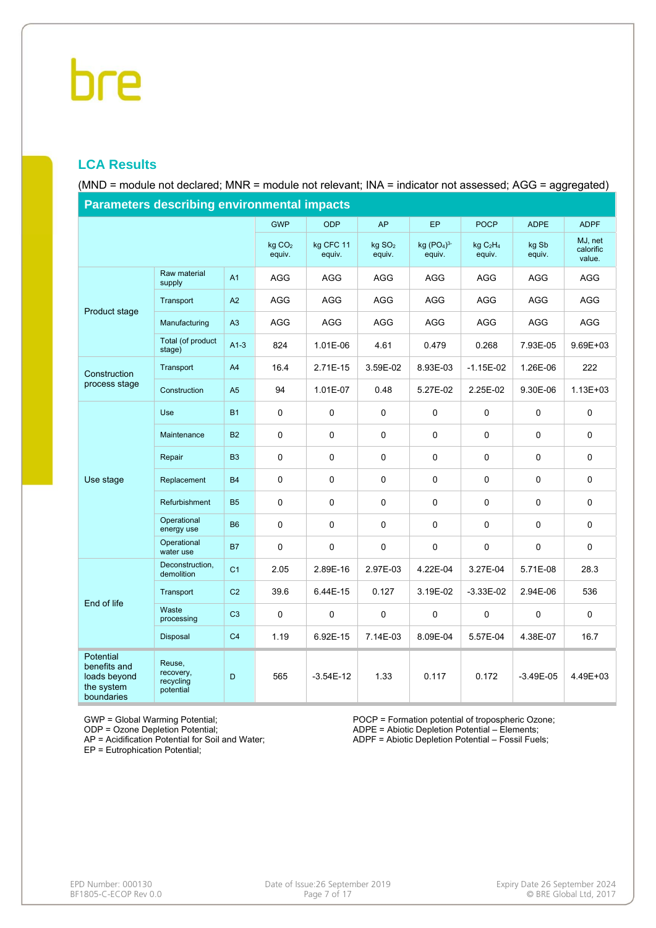### **LCA Results**

(MND = module not declared; MNR = module not relevant; INA = indicator not assessed; AGG = aggregated)

| Parameters describing environmental impacts                           |                                               |                |                              |                     |                              |                                              |                                            |                 |                                |  |  |  |
|-----------------------------------------------------------------------|-----------------------------------------------|----------------|------------------------------|---------------------|------------------------------|----------------------------------------------|--------------------------------------------|-----------------|--------------------------------|--|--|--|
|                                                                       |                                               |                | <b>GWP</b>                   | <b>ODP</b>          | <b>AP</b>                    | EP                                           | <b>POCP</b>                                | <b>ADPE</b>     | <b>ADPF</b>                    |  |  |  |
|                                                                       |                                               |                | kg CO <sub>2</sub><br>equiv. | kg CFC 11<br>equiv. | kg SO <sub>2</sub><br>equiv. | kg (PO <sub>4</sub> ) <sup>3</sup><br>equiv. | kg C <sub>2</sub> H <sub>4</sub><br>equiv. | kg Sb<br>equiv. | MJ, net<br>calorific<br>value. |  |  |  |
| Product stage                                                         | Raw material<br>supply                        | A1             | AGG                          | AGG                 | <b>AGG</b>                   | AGG                                          | AGG                                        | AGG             | <b>AGG</b>                     |  |  |  |
|                                                                       | Transport                                     | A2             | AGG                          | AGG                 | <b>AGG</b>                   | AGG                                          | AGG                                        | <b>AGG</b>      | AGG                            |  |  |  |
|                                                                       | Manufacturing                                 | A3             | AGG                          | AGG                 | AGG                          | AGG                                          | AGG                                        | AGG             | AGG                            |  |  |  |
|                                                                       | Total (of product<br>stage)                   | $A1-3$         | 824                          | 1.01E-06            | 4.61                         | 0.479                                        | 0.268                                      | 7.93E-05        | 9.69E+03                       |  |  |  |
| Construction<br>process stage                                         | Transport                                     | A4             | 16.4                         | 2.71E-15            | 3.59E-02                     | 8.93E-03                                     | $-1.15E-02$                                | 1.26E-06        | 222                            |  |  |  |
|                                                                       | Construction                                  | A <sub>5</sub> | 94                           | 1.01E-07            | 0.48                         | 5.27E-02                                     | 2.25E-02                                   | 9.30E-06        | $1.13E + 03$                   |  |  |  |
|                                                                       | <b>Use</b>                                    | <b>B1</b>      | 0                            | $\mathbf 0$         | 0                            | 0                                            | 0                                          | 0               | $\mathbf 0$                    |  |  |  |
|                                                                       | Maintenance                                   | <b>B2</b>      | 0                            | 0                   | $\pmb{0}$                    | $\mathbf 0$                                  | 0                                          | 0               | $\pmb{0}$                      |  |  |  |
|                                                                       | Repair                                        | B <sub>3</sub> | 0                            | $\mathbf 0$         | $\mathbf 0$                  | $\mathbf 0$                                  | 0                                          | 0               | $\mathbf 0$                    |  |  |  |
| Use stage                                                             | Replacement                                   | <b>B4</b>      | 0                            | $\mathbf 0$         | 0                            | 0                                            | 0                                          | 0               | $\pmb{0}$                      |  |  |  |
|                                                                       | Refurbishment                                 | <b>B5</b>      | 0                            | 0                   | $\mathbf 0$                  | $\mathbf 0$                                  | 0                                          | 0               | $\mathbf 0$                    |  |  |  |
|                                                                       | Operational<br>energy use                     | <b>B6</b>      | 0                            | $\pmb{0}$           | 0                            | 0                                            | 0                                          | 0               | $\mathsf{O}\xspace$            |  |  |  |
|                                                                       | Operational<br>water use                      | <b>B7</b>      | 0                            | $\mathbf 0$         | $\mathbf 0$                  | $\mathbf 0$                                  | 0                                          | 0               | $\mathbf 0$                    |  |  |  |
|                                                                       | Deconstruction,<br>demolition                 | C <sub>1</sub> | 2.05                         | 2.89E-16            | 2.97E-03                     | 4.22E-04                                     | 3.27E-04                                   | 5.71E-08        | 28.3                           |  |  |  |
| End of life                                                           | Transport                                     | C <sub>2</sub> | 39.6                         | 6.44E-15            | 0.127                        | 3.19E-02                                     | $-3.33E-02$                                | 2.94E-06        | 536                            |  |  |  |
|                                                                       | Waste<br>processing                           | C <sub>3</sub> | 0                            | $\pmb{0}$           | $\pmb{0}$                    | 0                                            | 0                                          | 0               | $\mathsf{O}\xspace$            |  |  |  |
|                                                                       | Disposal                                      | C <sub>4</sub> | 1.19                         | 6.92E-15            | 7.14E-03                     | 8.09E-04                                     | 5.57E-04                                   | 4.38E-07        | 16.7                           |  |  |  |
| Potential<br>benefits and<br>loads beyond<br>the system<br>boundaries | Reuse,<br>recovery,<br>recycling<br>potential | D              | 565                          | $-3.54E-12$         | 1.33                         | 0.117                                        | 0.172                                      | $-3.49E-05$     | 4.49E+03                       |  |  |  |

**Parameters describing environmental impacts**

GWP = Global Warming Potential;

ODP = Ozone Depletion Potential;

AP = Acidification Potential for Soil and Water;

EP = Eutrophication Potential;

POCP = Formation potential of tropospheric Ozone; ADPE = Abiotic Depletion Potential – Elements;

ADPF = Abiotic Depletion Potential – Fossil Fuels;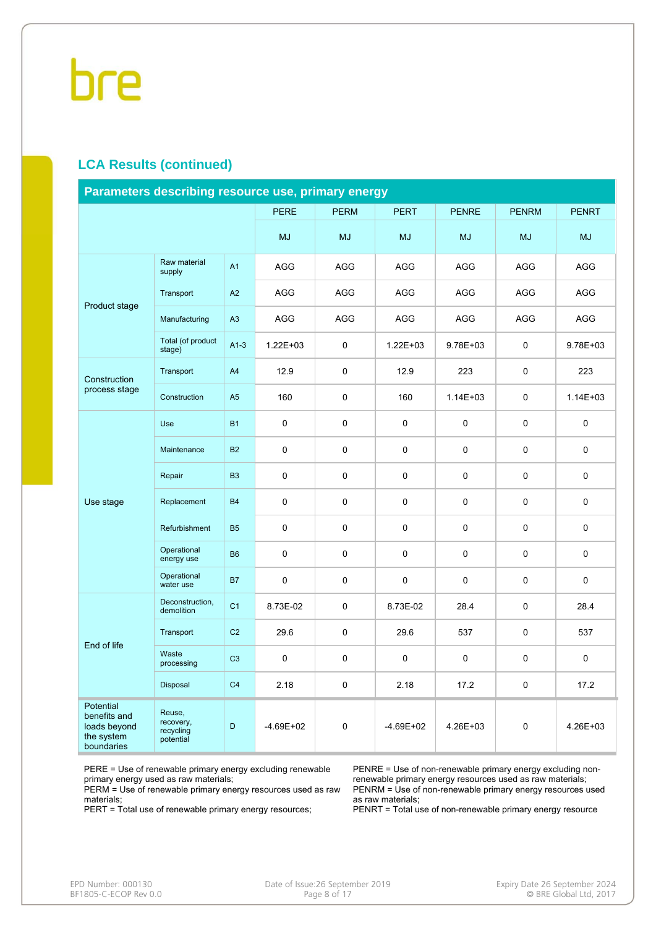#### **LCA Results (continued)**

| Parameters describing resource use, primary energy                    |                                               |                |               |             |              |              |              |              |  |  |  |
|-----------------------------------------------------------------------|-----------------------------------------------|----------------|---------------|-------------|--------------|--------------|--------------|--------------|--|--|--|
|                                                                       |                                               |                | <b>PERE</b>   | <b>PERM</b> | <b>PERT</b>  | <b>PENRE</b> | <b>PENRM</b> | <b>PENRT</b> |  |  |  |
|                                                                       |                                               |                | <b>MJ</b>     | <b>MJ</b>   | MJ           | <b>MJ</b>    | <b>MJ</b>    | <b>MJ</b>    |  |  |  |
|                                                                       | Raw material<br>supply                        | A1             | <b>AGG</b>    | <b>AGG</b>  | AGG          | <b>AGG</b>   | AGG          | <b>AGG</b>   |  |  |  |
|                                                                       | Transport                                     | A2             | AGG           | AGG         | AGG          | AGG          | AGG          | AGG          |  |  |  |
| Product stage                                                         | Manufacturing                                 | A3             | <b>AGG</b>    | <b>AGG</b>  | AGG          | AGG          | AGG          | <b>AGG</b>   |  |  |  |
|                                                                       | Total (of product<br>stage)                   | $A1-3$         | $1.22E + 03$  | 0           | $1.22E + 03$ | 9.78E+03     | 0            | 9.78E+03     |  |  |  |
| Construction                                                          | Transport                                     | A4             | 12.9          | 0           | 12.9         | 223          | 0            | 223          |  |  |  |
| process stage                                                         | Construction                                  | A <sub>5</sub> | 160           | 0           | 160          | $1.14E + 03$ | 0            | $1.14E + 03$ |  |  |  |
|                                                                       | Use                                           | <b>B1</b>      | 0             | 0           | $\Omega$     | $\Omega$     | 0            | 0            |  |  |  |
|                                                                       | Maintenance                                   | <b>B2</b>      | $\mathbf 0$   | 0           | $\mathbf 0$  | $\mathbf 0$  | 0            | $\mathbf 0$  |  |  |  |
|                                                                       | Repair                                        | B <sub>3</sub> | 0             | 0           | $\mathbf 0$  | $\mathbf 0$  | 0            | $\mathbf 0$  |  |  |  |
| Use stage                                                             | Replacement                                   | <b>B4</b>      | $\pmb{0}$     | 0           | $\mathbf 0$  | $\mathbf 0$  | 0            | 0            |  |  |  |
|                                                                       | Refurbishment                                 | <b>B5</b>      | 0             | 0           | $\mathbf 0$  | $\mathbf 0$  | 0            | $\mathbf 0$  |  |  |  |
|                                                                       | Operational<br>energy use                     | <b>B6</b>      | 0             | 0           | $\mathbf 0$  | $\mathbf 0$  | 0            | 0            |  |  |  |
|                                                                       | Operational<br>water use                      | <b>B7</b>      | 0             | 0           | 0            | 0            | 0            | 0            |  |  |  |
|                                                                       | Deconstruction,<br>demolition                 | C <sub>1</sub> | 8.73E-02      | 0           | 8.73E-02     | 28.4         | 0            | 28.4         |  |  |  |
| End of life                                                           | Transport                                     | C <sub>2</sub> | 29.6          | 0           | 29.6         | 537          | 0            | 537          |  |  |  |
|                                                                       | Waste<br>processing                           | C <sub>3</sub> | 0             | 0           | 0            | $\mathbf 0$  | 0            | 0            |  |  |  |
|                                                                       | Disposal                                      | C <sub>4</sub> | 2.18          | 0           | 2.18         | 17.2         | 0            | 17.2         |  |  |  |
| Potential<br>benefits and<br>loads beyond<br>the system<br>boundaries | Reuse,<br>recovery,<br>recycling<br>potential | D              | $-4.69E + 02$ | 0           | $-4.69E+02$  | 4.26E+03     | 0            | 4.26E+03     |  |  |  |

PERE = Use of renewable primary energy excluding renewable primary energy used as raw materials;

PERM = Use of renewable primary energy resources used as raw materials;

PERT = Total use of renewable primary energy resources;

PENRE = Use of non-renewable primary energy excluding nonrenewable primary energy resources used as raw materials; PENRM = Use of non-renewable primary energy resources used as raw materials;

PENRT = Total use of non-renewable primary energy resource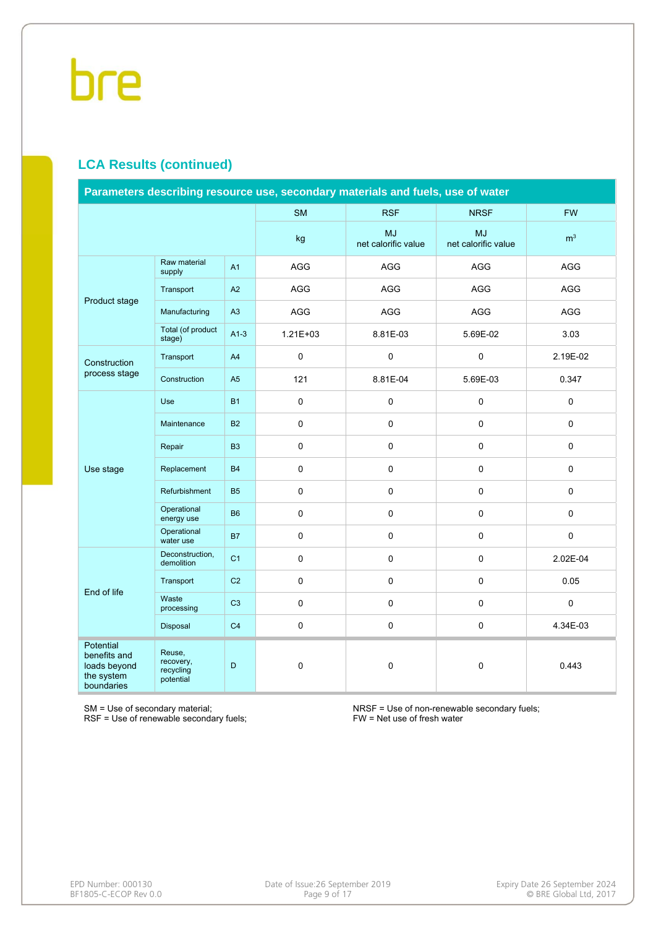### **LCA Results (continued)**

| Parameters describing resource use, secondary materials and fuels, use of water |                                               |                |              |                                  |                                  |                |  |  |  |  |
|---------------------------------------------------------------------------------|-----------------------------------------------|----------------|--------------|----------------------------------|----------------------------------|----------------|--|--|--|--|
|                                                                                 |                                               |                | <b>SM</b>    | <b>RSF</b>                       | <b>NRSF</b>                      | <b>FW</b>      |  |  |  |  |
|                                                                                 |                                               |                | kg           | <b>MJ</b><br>net calorific value | <b>MJ</b><br>net calorific value | m <sup>3</sup> |  |  |  |  |
| Product stage                                                                   | Raw material<br>supply                        | A <sub>1</sub> | AGG          | AGG                              | AGG                              | <b>AGG</b>     |  |  |  |  |
|                                                                                 | Transport                                     | A2             | AGG          | AGG                              | AGG                              | AGG            |  |  |  |  |
|                                                                                 | Manufacturing                                 | A3             | AGG          | AGG                              | AGG                              | AGG            |  |  |  |  |
|                                                                                 | Total (of product<br>stage)                   | $A1-3$         | $1.21E + 03$ | 8.81E-03                         | 5.69E-02                         | 3.03           |  |  |  |  |
| Construction                                                                    | Transport                                     | A4             | $\pmb{0}$    | $\pmb{0}$                        | $\pmb{0}$                        | 2.19E-02       |  |  |  |  |
| process stage                                                                   | Construction                                  | A <sub>5</sub> | 121          | 8.81E-04                         | 5.69E-03                         | 0.347          |  |  |  |  |
|                                                                                 | Use                                           | <b>B1</b>      | $\mathbf 0$  | $\pmb{0}$                        | 0                                | $\mathbf 0$    |  |  |  |  |
|                                                                                 | Maintenance                                   | <b>B2</b>      | $\pmb{0}$    | $\mathbf 0$                      | $\mathbf 0$                      | $\mathbf 0$    |  |  |  |  |
|                                                                                 | Repair                                        | B <sub>3</sub> | $\pmb{0}$    | $\pmb{0}$                        | $\mathbf 0$                      | $\pmb{0}$      |  |  |  |  |
| Use stage                                                                       | Replacement                                   | <b>B4</b>      | $\mathbf 0$  | $\mathbf 0$                      | 0                                | $\mathbf 0$    |  |  |  |  |
|                                                                                 | Refurbishment                                 | <b>B5</b>      | $\pmb{0}$    | $\pmb{0}$                        | $\pmb{0}$                        | $\pmb{0}$      |  |  |  |  |
|                                                                                 | Operational<br>energy use                     | <b>B6</b>      | $\pmb{0}$    | $\pmb{0}$                        | $\mathbf 0$                      | $\pmb{0}$      |  |  |  |  |
|                                                                                 | Operational<br>water use                      | <b>B7</b>      | $\pmb{0}$    | $\pmb{0}$                        | $\pmb{0}$                        | $\pmb{0}$      |  |  |  |  |
|                                                                                 | Deconstruction,<br>demolition                 | C <sub>1</sub> | 0            | $\mathbf 0$                      | 0                                | 2.02E-04       |  |  |  |  |
| End of life                                                                     | Transport                                     | C <sub>2</sub> | $\pmb{0}$    | $\pmb{0}$                        | $\Omega$                         | 0.05           |  |  |  |  |
|                                                                                 | Waste<br>processing                           | C <sub>3</sub> | $\pmb{0}$    | $\pmb{0}$                        | $\mathbf 0$                      | $\pmb{0}$      |  |  |  |  |
|                                                                                 | Disposal                                      | C <sub>4</sub> | 0            | $\pmb{0}$                        | $\pmb{0}$                        | 4.34E-03       |  |  |  |  |
| <b>Potential</b><br>benefits and<br>loads beyond<br>the system<br>boundaries    | Reuse,<br>recovery,<br>recycling<br>potential | D              | 0            | $\pmb{0}$                        | $\pmb{0}$                        | 0.443          |  |  |  |  |

SM = Use of secondary material;

RSF = Use of renewable secondary fuels;

NRSF = Use of non-renewable secondary fuels; FW = Net use of fresh water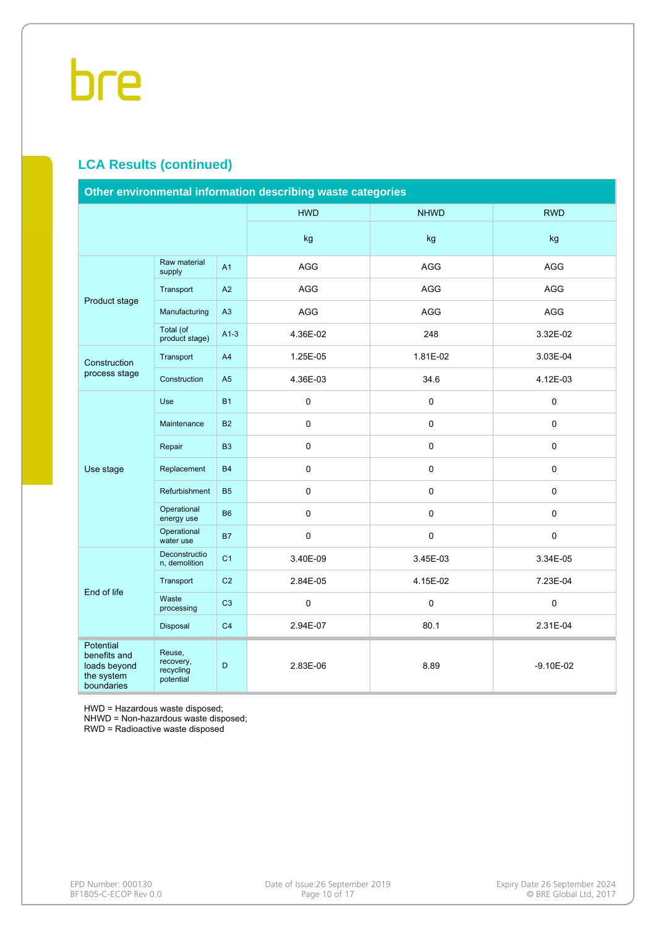### **LCA Results (continued)**

| Other environmental information describing waste categories           |                                               |                |             |             |               |  |  |  |  |
|-----------------------------------------------------------------------|-----------------------------------------------|----------------|-------------|-------------|---------------|--|--|--|--|
|                                                                       |                                               |                | <b>HWD</b>  | <b>NHWD</b> | <b>RWD</b>    |  |  |  |  |
|                                                                       |                                               |                | kg          | kg          | kg            |  |  |  |  |
| Product stage                                                         | Raw material<br>supply                        | A <sub>1</sub> | <b>AGG</b>  | <b>AGG</b>  | <b>AGG</b>    |  |  |  |  |
|                                                                       | Transport                                     | A2             | AGG         | AGG         | AGG           |  |  |  |  |
|                                                                       | Manufacturing                                 | A3             | AGG         | AGG         | AGG           |  |  |  |  |
|                                                                       | Total (of<br>product stage)                   | $A1-3$         | 4.36E-02    | 248         | 3.32E-02      |  |  |  |  |
| Construction                                                          | Transport                                     | A4             | 1.25E-05    | 1.81E-02    | 3.03E-04      |  |  |  |  |
| process stage                                                         | Construction                                  | A <sub>5</sub> | 4.36E-03    | 34.6        | 4.12E-03      |  |  |  |  |
|                                                                       | <b>Use</b>                                    | <b>B1</b>      | 0           | 0           | 0             |  |  |  |  |
|                                                                       | Maintenance                                   | <b>B2</b>      | $\Omega$    | 0           | $\mathbf 0$   |  |  |  |  |
|                                                                       | Repair                                        | B <sub>3</sub> | 0           | 0           | 0             |  |  |  |  |
| Use stage                                                             | Replacement                                   | <b>B4</b>      | $\mathbf 0$ | 0           | 0             |  |  |  |  |
|                                                                       | Refurbishment                                 | <b>B5</b>      | $\pmb{0}$   | 0           | $\mathsf 0$   |  |  |  |  |
|                                                                       | Operational<br>energy use                     | <b>B6</b>      | $\mathbf 0$ | $\mathbf 0$ | 0             |  |  |  |  |
|                                                                       | Operational<br>water use                      | <b>B7</b>      | $\pmb{0}$   | 0           | $\mathsf 0$   |  |  |  |  |
|                                                                       | Deconstructio<br>n, demolition                | C <sub>1</sub> | 3.40E-09    | 3.45E-03    | 3.34E-05      |  |  |  |  |
| End of life                                                           | Transport                                     | C <sub>2</sub> | 2.84E-05    | 4.15E-02    | 7.23E-04      |  |  |  |  |
|                                                                       | Waste<br>processing                           | C <sub>3</sub> | 0           | 0           | $\mathbf 0$   |  |  |  |  |
|                                                                       | Disposal                                      | C <sub>4</sub> | 2.94E-07    | 80.1        | 2.31E-04      |  |  |  |  |
| Potential<br>benefits and<br>loads beyond<br>the system<br>boundaries | Reuse,<br>recovery,<br>recycling<br>potential | D              | 2.83E-06    | 8.89        | $-9.10E - 02$ |  |  |  |  |

HWD = Hazardous waste disposed;

NHWD = Non-hazardous waste disposed;

RWD = Radioactive waste disposed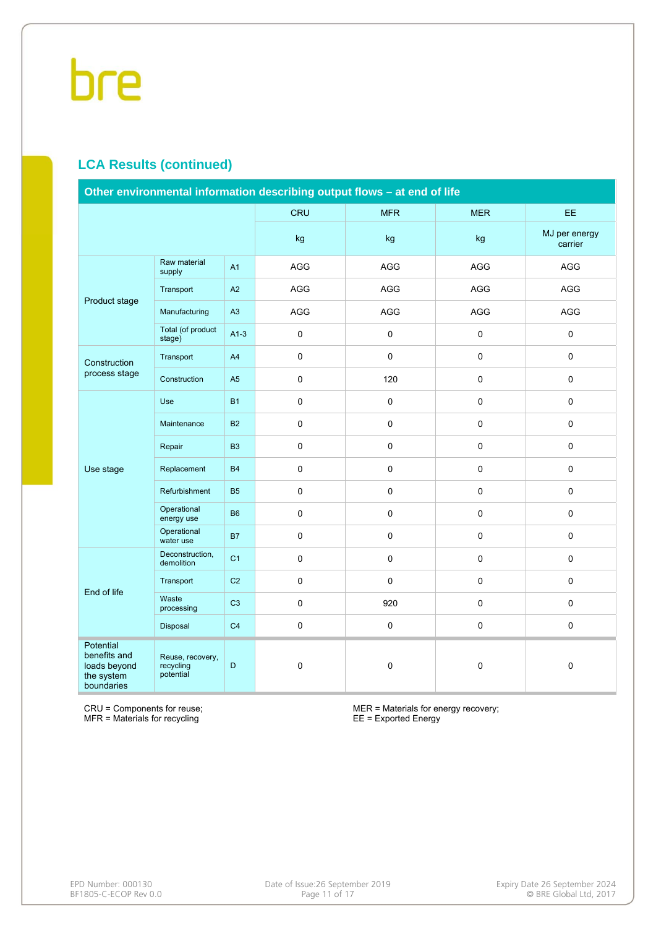### **LCA Results (continued)**

| Other environmental information describing output flows - at end of life |                                            |                |                     |             |             |                          |  |  |  |  |
|--------------------------------------------------------------------------|--------------------------------------------|----------------|---------------------|-------------|-------------|--------------------------|--|--|--|--|
|                                                                          |                                            |                | <b>CRU</b>          | <b>MFR</b>  | <b>MER</b>  | EE.                      |  |  |  |  |
|                                                                          |                                            |                | kg                  | kg          | kg          | MJ per energy<br>carrier |  |  |  |  |
| Product stage                                                            | Raw material<br>supply                     | A <sub>1</sub> | AGG                 | <b>AGG</b>  | <b>AGG</b>  | AGG                      |  |  |  |  |
|                                                                          | Transport                                  | A2             | AGG                 | AGG         | AGG         | AGG                      |  |  |  |  |
|                                                                          | Manufacturing                              | A3             | AGG                 | AGG         | AGG         | AGG                      |  |  |  |  |
|                                                                          | Total (of product<br>stage)                | $A1-3$         | $\mathsf{O}\xspace$ | $\pmb{0}$   | $\mathbf 0$ | $\pmb{0}$                |  |  |  |  |
| Construction                                                             | Transport                                  | A <sub>4</sub> | $\mathsf{O}\xspace$ | $\pmb{0}$   | $\mathbf 0$ | $\mathbf 0$              |  |  |  |  |
| process stage                                                            | Construction                               | A <sub>5</sub> | $\pmb{0}$           | 120         | $\pmb{0}$   | $\pmb{0}$                |  |  |  |  |
|                                                                          | Use                                        | <b>B1</b>      | $\pmb{0}$           | $\pmb{0}$   | $\mathbf 0$ | $\pmb{0}$                |  |  |  |  |
|                                                                          | Maintenance                                | <b>B2</b>      | $\mathbf 0$         | $\pmb{0}$   | $\mathbf 0$ | $\mathbf 0$              |  |  |  |  |
|                                                                          | Repair                                     | <b>B3</b>      | $\pmb{0}$           | $\pmb{0}$   | $\pmb{0}$   | $\pmb{0}$                |  |  |  |  |
| Use stage                                                                | Replacement                                | <b>B4</b>      | $\mathsf{O}\xspace$ | $\pmb{0}$   | $\mathbf 0$ | $\pmb{0}$                |  |  |  |  |
|                                                                          | Refurbishment                              | <b>B5</b>      | $\pmb{0}$           | $\pmb{0}$   | $\pmb{0}$   | $\pmb{0}$                |  |  |  |  |
|                                                                          | Operational<br>energy use                  | <b>B6</b>      | $\mathsf{O}\xspace$ | $\mathbf 0$ | $\mathbf 0$ | $\pmb{0}$                |  |  |  |  |
|                                                                          | Operational<br>water use                   | <b>B7</b>      | $\pmb{0}$           | $\pmb{0}$   | $\pmb{0}$   | $\pmb{0}$                |  |  |  |  |
|                                                                          | Deconstruction,<br>demolition              | C <sub>1</sub> | $\pmb{0}$           | $\mathsf 0$ | $\pmb{0}$   | $\pmb{0}$                |  |  |  |  |
| End of life                                                              | Transport                                  | C <sub>2</sub> | $\mathsf 0$         | $\mathbf 0$ | $\mathbf 0$ | $\mathbf 0$              |  |  |  |  |
|                                                                          | Waste<br>processing                        | C <sub>3</sub> | $\pmb{0}$           | 920         | $\pmb{0}$   | $\pmb{0}$                |  |  |  |  |
|                                                                          | Disposal                                   | C <sub>4</sub> | $\mathsf{O}\xspace$ | $\pmb{0}$   | $\pmb{0}$   | $\pmb{0}$                |  |  |  |  |
| Potential<br>benefits and<br>loads beyond<br>the system<br>boundaries    | Reuse, recovery,<br>recycling<br>potential | D              | $\mathsf{O}\xspace$ | $\pmb{0}$   | $\pmb{0}$   | $\mathbf 0$              |  |  |  |  |

CRU = Components for reuse; MFR = Materials for recycling

MER = Materials for energy recovery; EE = Exported Energy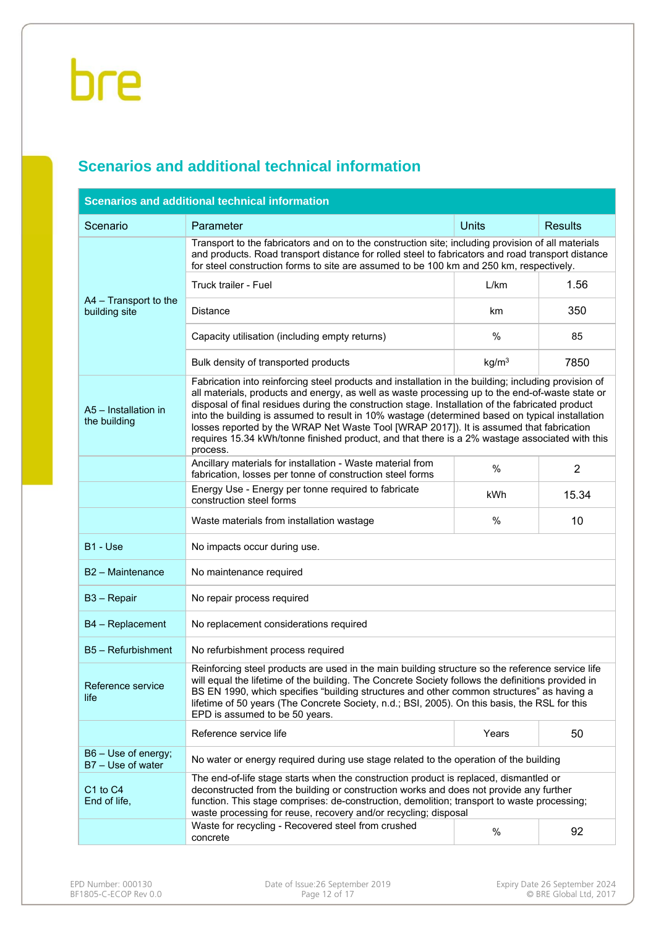### **Scenarios and additional technical information**

| <b>Scenarios and additional technical information</b> |                                                                                                                                                                                                                                                                                                                                                                                                                                                                                                                                                                                                                         |                   |                |  |  |  |  |  |  |
|-------------------------------------------------------|-------------------------------------------------------------------------------------------------------------------------------------------------------------------------------------------------------------------------------------------------------------------------------------------------------------------------------------------------------------------------------------------------------------------------------------------------------------------------------------------------------------------------------------------------------------------------------------------------------------------------|-------------------|----------------|--|--|--|--|--|--|
| Scenario                                              | Parameter                                                                                                                                                                                                                                                                                                                                                                                                                                                                                                                                                                                                               | <b>Units</b>      | <b>Results</b> |  |  |  |  |  |  |
|                                                       | Transport to the fabricators and on to the construction site; including provision of all materials<br>and products. Road transport distance for rolled steel to fabricators and road transport distance<br>for steel construction forms to site are assumed to be 100 km and 250 km, respectively.                                                                                                                                                                                                                                                                                                                      |                   |                |  |  |  |  |  |  |
|                                                       | Truck trailer - Fuel                                                                                                                                                                                                                                                                                                                                                                                                                                                                                                                                                                                                    | L/km              | 1.56           |  |  |  |  |  |  |
| A4 - Transport to the<br>building site                | <b>Distance</b>                                                                                                                                                                                                                                                                                                                                                                                                                                                                                                                                                                                                         | km                | 350            |  |  |  |  |  |  |
|                                                       | Capacity utilisation (including empty returns)                                                                                                                                                                                                                                                                                                                                                                                                                                                                                                                                                                          | $\%$              | 85             |  |  |  |  |  |  |
|                                                       | Bulk density of transported products                                                                                                                                                                                                                                                                                                                                                                                                                                                                                                                                                                                    | kg/m <sup>3</sup> | 7850           |  |  |  |  |  |  |
| A5 - Installation in<br>the building                  | Fabrication into reinforcing steel products and installation in the building; including provision of<br>all materials, products and energy, as well as waste processing up to the end-of-waste state or<br>disposal of final residues during the construction stage. Installation of the fabricated product<br>into the building is assumed to result in 10% wastage (determined based on typical installation<br>losses reported by the WRAP Net Waste Tool [WRAP 2017]). It is assumed that fabrication<br>requires 15.34 kWh/tonne finished product, and that there is a 2% wastage associated with this<br>process. |                   |                |  |  |  |  |  |  |
|                                                       | Ancillary materials for installation - Waste material from<br>fabrication, losses per tonne of construction steel forms                                                                                                                                                                                                                                                                                                                                                                                                                                                                                                 | %                 | $\overline{2}$ |  |  |  |  |  |  |
|                                                       | Energy Use - Energy per tonne required to fabricate<br>construction steel forms                                                                                                                                                                                                                                                                                                                                                                                                                                                                                                                                         | kWh               | 15.34          |  |  |  |  |  |  |
|                                                       | Waste materials from installation wastage                                                                                                                                                                                                                                                                                                                                                                                                                                                                                                                                                                               | %                 | 10             |  |  |  |  |  |  |
| B1 - Use                                              | No impacts occur during use.                                                                                                                                                                                                                                                                                                                                                                                                                                                                                                                                                                                            |                   |                |  |  |  |  |  |  |
| B2 - Maintenance                                      | No maintenance required                                                                                                                                                                                                                                                                                                                                                                                                                                                                                                                                                                                                 |                   |                |  |  |  |  |  |  |
| B <sub>3</sub> - Repair                               | No repair process required                                                                                                                                                                                                                                                                                                                                                                                                                                                                                                                                                                                              |                   |                |  |  |  |  |  |  |
| B4 - Replacement                                      | No replacement considerations required                                                                                                                                                                                                                                                                                                                                                                                                                                                                                                                                                                                  |                   |                |  |  |  |  |  |  |
| B5 - Refurbishment                                    | No refurbishment process required                                                                                                                                                                                                                                                                                                                                                                                                                                                                                                                                                                                       |                   |                |  |  |  |  |  |  |
| Reference service<br>life                             | Reinforcing steel products are used in the main building structure so the reference service life<br>will equal the lifetime of the building. The Concrete Society follows the definitions provided in<br>BS EN 1990, which specifies "building structures and other common structures" as having a<br>lifetime of 50 years (The Concrete Society, n.d.; BSI, 2005). On this basis, the RSL for this<br>EPD is assumed to be 50 years.                                                                                                                                                                                   |                   |                |  |  |  |  |  |  |
|                                                       | Reference service life                                                                                                                                                                                                                                                                                                                                                                                                                                                                                                                                                                                                  | Years             | 50             |  |  |  |  |  |  |
| B6 - Use of energy;<br>B7 - Use of water              | No water or energy required during use stage related to the operation of the building                                                                                                                                                                                                                                                                                                                                                                                                                                                                                                                                   |                   |                |  |  |  |  |  |  |
| C <sub>1</sub> to C <sub>4</sub><br>End of life,      | The end-of-life stage starts when the construction product is replaced, dismantled or<br>deconstructed from the building or construction works and does not provide any further<br>function. This stage comprises: de-construction, demolition; transport to waste processing;<br>waste processing for reuse, recovery and/or recycling; disposal                                                                                                                                                                                                                                                                       |                   |                |  |  |  |  |  |  |
|                                                       | Waste for recycling - Recovered steel from crushed<br>concrete                                                                                                                                                                                                                                                                                                                                                                                                                                                                                                                                                          | %                 | 92             |  |  |  |  |  |  |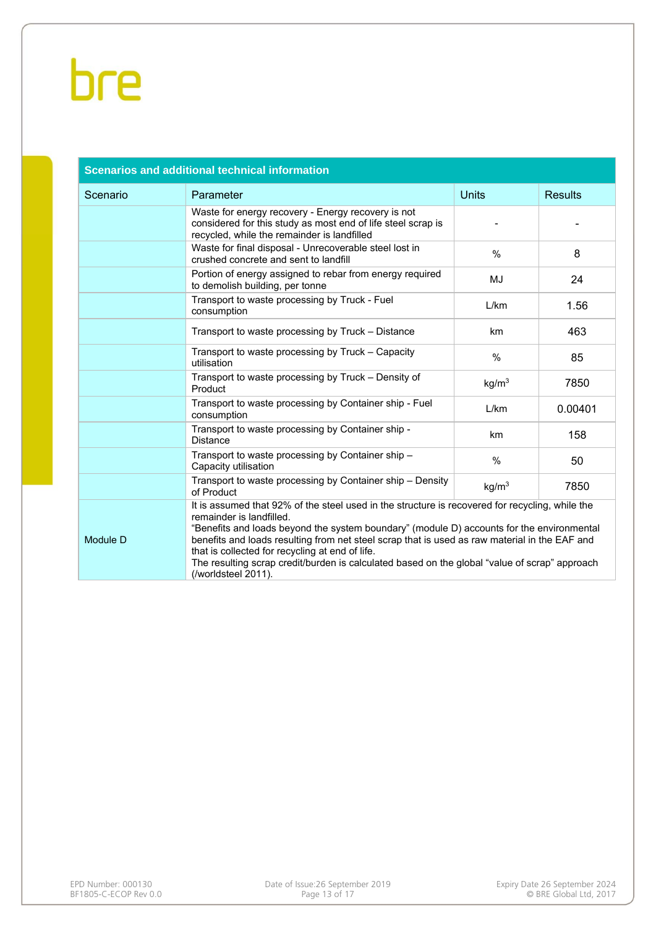| <b>Scenarios and additional technical information</b> |                                                                                                                                                                                                                                                                                                                                                                                                                                                                                                      |                   |                |  |  |  |  |  |  |  |
|-------------------------------------------------------|------------------------------------------------------------------------------------------------------------------------------------------------------------------------------------------------------------------------------------------------------------------------------------------------------------------------------------------------------------------------------------------------------------------------------------------------------------------------------------------------------|-------------------|----------------|--|--|--|--|--|--|--|
| Scenario                                              | Parameter                                                                                                                                                                                                                                                                                                                                                                                                                                                                                            | <b>Units</b>      | <b>Results</b> |  |  |  |  |  |  |  |
|                                                       | Waste for energy recovery - Energy recovery is not<br>considered for this study as most end of life steel scrap is<br>recycled, while the remainder is landfilled                                                                                                                                                                                                                                                                                                                                    |                   |                |  |  |  |  |  |  |  |
|                                                       | Waste for final disposal - Unrecoverable steel lost in<br>crushed concrete and sent to landfill                                                                                                                                                                                                                                                                                                                                                                                                      | $\frac{0}{0}$     | 8              |  |  |  |  |  |  |  |
|                                                       | Portion of energy assigned to rebar from energy required<br>to demolish building, per tonne                                                                                                                                                                                                                                                                                                                                                                                                          | MJ                | 24             |  |  |  |  |  |  |  |
|                                                       | Transport to waste processing by Truck - Fuel<br>consumption                                                                                                                                                                                                                                                                                                                                                                                                                                         | L/km              | 1.56           |  |  |  |  |  |  |  |
|                                                       | Transport to waste processing by Truck - Distance                                                                                                                                                                                                                                                                                                                                                                                                                                                    | km                | 463            |  |  |  |  |  |  |  |
|                                                       | Transport to waste processing by Truck - Capacity<br>utilisation                                                                                                                                                                                                                                                                                                                                                                                                                                     | %                 | 85             |  |  |  |  |  |  |  |
|                                                       | Transport to waste processing by Truck - Density of<br>Product                                                                                                                                                                                                                                                                                                                                                                                                                                       | kg/m <sup>3</sup> | 7850           |  |  |  |  |  |  |  |
|                                                       | Transport to waste processing by Container ship - Fuel<br>consumption                                                                                                                                                                                                                                                                                                                                                                                                                                | L/km              | 0.00401        |  |  |  |  |  |  |  |
|                                                       | Transport to waste processing by Container ship -<br><b>Distance</b>                                                                                                                                                                                                                                                                                                                                                                                                                                 | km                | 158            |  |  |  |  |  |  |  |
|                                                       | Transport to waste processing by Container ship -<br>Capacity utilisation                                                                                                                                                                                                                                                                                                                                                                                                                            | %                 | 50             |  |  |  |  |  |  |  |
|                                                       | Transport to waste processing by Container ship - Density<br>of Product                                                                                                                                                                                                                                                                                                                                                                                                                              | kg/m <sup>3</sup> | 7850           |  |  |  |  |  |  |  |
| Module D                                              | It is assumed that 92% of the steel used in the structure is recovered for recycling, while the<br>remainder is landfilled.<br>"Benefits and loads beyond the system boundary" (module D) accounts for the environmental<br>benefits and loads resulting from net steel scrap that is used as raw material in the EAF and<br>that is collected for recycling at end of life.<br>The resulting scrap credit/burden is calculated based on the global "value of scrap" approach<br>(/worldsteel 2011). |                   |                |  |  |  |  |  |  |  |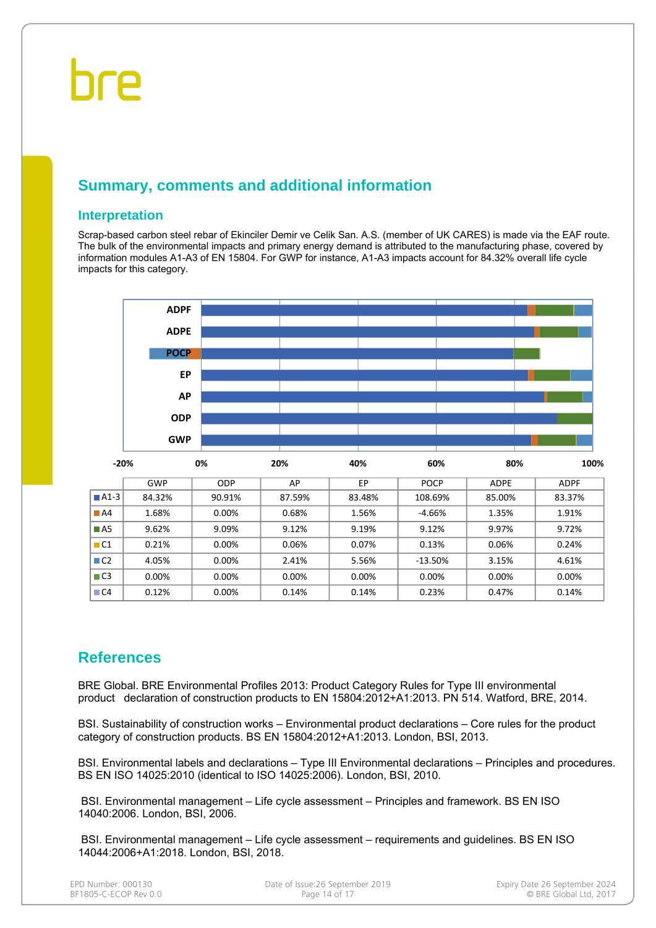### **Summary, comments and additional information**

#### **Interpretation**

Scrap-based carbon steel rebar of Ekinciler Demir ve Celik San. A.S. (member of UK CARES) is made via the EAF route. The bulk of the environmental impacts and primary energy demand is attributed to the manufacturing phase, covered by information modules A1-A3 of EN 15804. For GWP for instance, A1-A3 impacts account for 84.32% overall life cycle impacts for this category.



### **References**

BRE Global. BRE Environmental Profiles 2013: Product Category Rules for Type III environmental product declaration of construction products to EN 15804:2012+A1:2013. PN 514. Watford, BRE, 2014.

BSI. Sustainability of construction works – Environmental product declarations – Core rules for the product category of construction products. BS EN 15804:2012+A1:2013. London, BSI, 2013.

BSI. Environmental labels and declarations – Type III Environmental declarations – Principles and procedures. BS EN ISO 14025:2010 (identical to ISO 14025:2006). London, BSI, 2010.

 BSI. Environmental management – Life cycle assessment – Principles and framework. BS EN ISO 14040:2006. London, BSI, 2006.

 BSI. Environmental management – Life cycle assessment – requirements and guidelines. BS EN ISO 14044:2006+A1:2018. London, BSI, 2018.

| EPD Number: 000130    |  |
|-----------------------|--|
| BF1805-C-ECOP Rev 0.0 |  |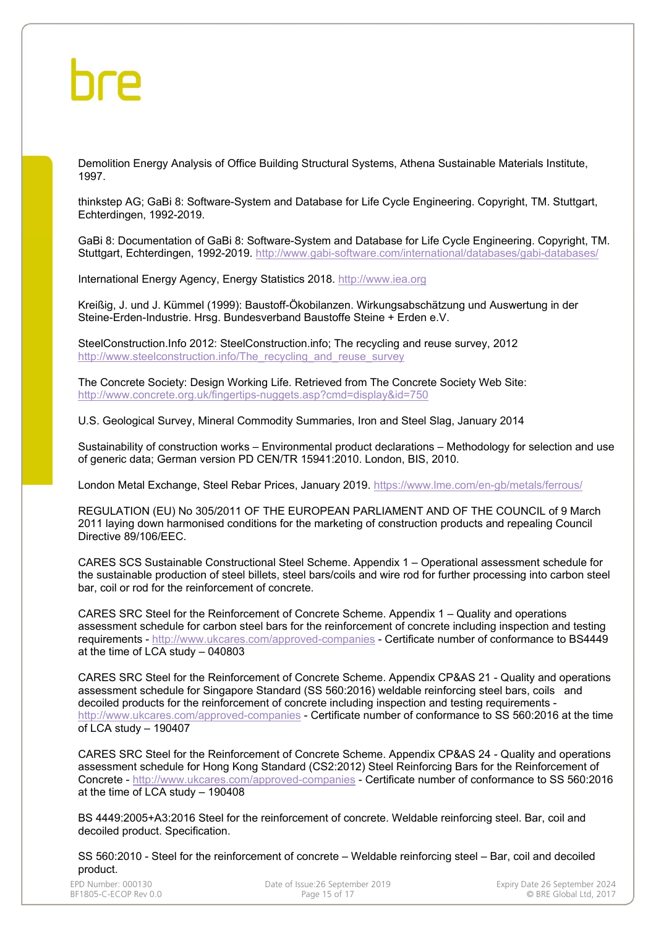Demolition Energy Analysis of Office Building Structural Systems, Athena Sustainable Materials Institute, 1997.

thinkstep AG; GaBi 8: Software-System and Database for Life Cycle Engineering. Copyright, TM. Stuttgart, Echterdingen, 1992-2019.

GaBi 8: Documentation of GaBi 8: Software-System and Database for Life Cycle Engineering. Copyright, TM. Stuttgart, Echterdingen, 1992-2019. http://www.gabi-software.com/international/databases/gabi-databases/

International Energy Agency, Energy Statistics 2018. http://www.iea.org

Kreißig, J. und J. Kümmel (1999): Baustoff-Ökobilanzen. Wirkungsabschätzung und Auswertung in der Steine-Erden-Industrie. Hrsg. Bundesverband Baustoffe Steine + Erden e.V.

SteelConstruction.Info 2012: SteelConstruction.info; The recycling and reuse survey, 2012 http://www.steelconstruction.info/The\_recycling\_and\_reuse\_survey\_

The Concrete Society: Design Working Life. Retrieved from The Concrete Society Web Site: http://www.concrete.org.uk/fingertips-nuggets.asp?cmd=display&id=750

U.S. Geological Survey, Mineral Commodity Summaries, Iron and Steel Slag, January 2014

Sustainability of construction works – Environmental product declarations – Methodology for selection and use of generic data; German version PD CEN/TR 15941:2010. London, BIS, 2010.

London Metal Exchange, Steel Rebar Prices, January 2019. https://www.lme.com/en-gb/metals/ferrous/

REGULATION (EU) No 305/2011 OF THE EUROPEAN PARLIAMENT AND OF THE COUNCIL of 9 March 2011 laying down harmonised conditions for the marketing of construction products and repealing Council Directive 89/106/EEC.

CARES SCS Sustainable Constructional Steel Scheme. Appendix 1 – Operational assessment schedule for the sustainable production of steel billets, steel bars/coils and wire rod for further processing into carbon steel bar, coil or rod for the reinforcement of concrete.

CARES SRC Steel for the Reinforcement of Concrete Scheme. Appendix 1 – Quality and operations assessment schedule for carbon steel bars for the reinforcement of concrete including inspection and testing requirements - http://www.ukcares.com/approved-companies - Certificate number of conformance to BS4449 at the time of LCA study – 040803

CARES SRC Steel for the Reinforcement of Concrete Scheme. Appendix CP&AS 21 - Quality and operations assessment schedule for Singapore Standard (SS 560:2016) weldable reinforcing steel bars, coils and decoiled products for the reinforcement of concrete including inspection and testing requirements http://www.ukcares.com/approved-companies - Certificate number of conformance to SS 560:2016 at the time of LCA study – 190407

CARES SRC Steel for the Reinforcement of Concrete Scheme. Appendix CP&AS 24 - Quality and operations assessment schedule for Hong Kong Standard (CS2:2012) Steel Reinforcing Bars for the Reinforcement of Concrete - http://www.ukcares.com/approved-companies - Certificate number of conformance to SS 560:2016 at the time of LCA study – 190408

BS 4449:2005+A3:2016 Steel for the reinforcement of concrete. Weldable reinforcing steel. Bar, coil and decoiled product. Specification.

SS 560:2010 - Steel for the reinforcement of concrete – Weldable reinforcing steel – Bar, coil and decoiled product.

| EPD Number: 000130    |  |
|-----------------------|--|
| BF1805-C-ECOP Rev 0.0 |  |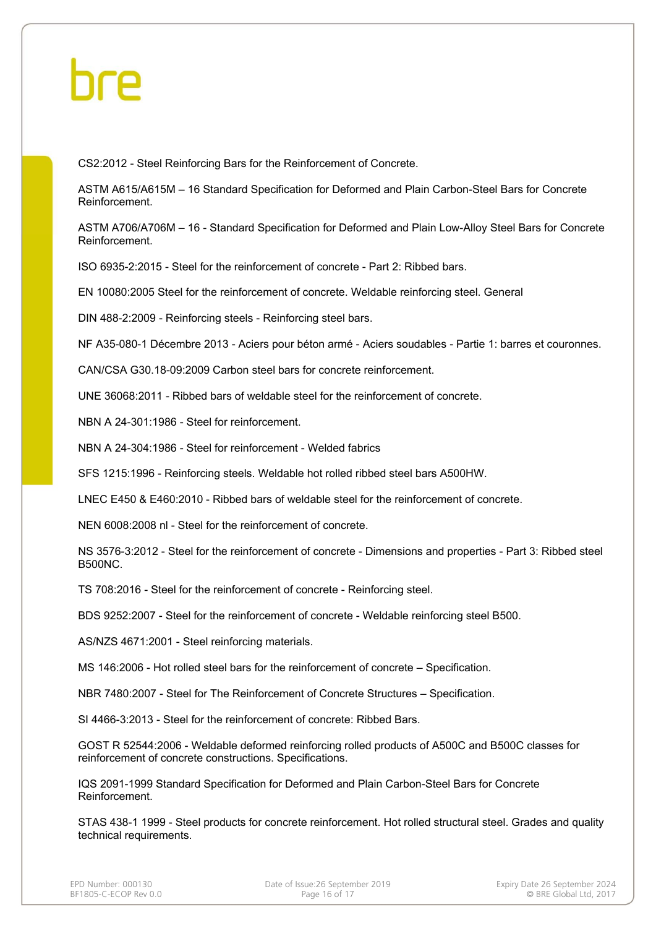CS2:2012 - Steel Reinforcing Bars for the Reinforcement of Concrete.

ASTM A615/A615M – 16 Standard Specification for Deformed and Plain Carbon-Steel Bars for Concrete Reinforcement.

ASTM A706/A706M – 16 - Standard Specification for Deformed and Plain Low-Alloy Steel Bars for Concrete Reinforcement.

ISO 6935-2:2015 - Steel for the reinforcement of concrete - Part 2: Ribbed bars.

EN 10080:2005 Steel for the reinforcement of concrete. Weldable reinforcing steel. General

DIN 488-2:2009 - Reinforcing steels - Reinforcing steel bars.

NF A35-080-1 Décembre 2013 - Aciers pour béton armé - Aciers soudables - Partie 1: barres et couronnes.

CAN/CSA G30.18-09:2009 Carbon steel bars for concrete reinforcement.

UNE 36068:2011 - Ribbed bars of weldable steel for the reinforcement of concrete.

NBN A 24-301:1986 - Steel for reinforcement.

NBN A 24-304:1986 - Steel for reinforcement - Welded fabrics

SFS 1215:1996 - Reinforcing steels. Weldable hot rolled ribbed steel bars A500HW.

LNEC E450 & E460:2010 - Ribbed bars of weldable steel for the reinforcement of concrete.

NEN 6008:2008 nl - Steel for the reinforcement of concrete.

NS 3576-3:2012 - Steel for the reinforcement of concrete - Dimensions and properties - Part 3: Ribbed steel B500NC.

TS 708:2016 - Steel for the reinforcement of concrete - Reinforcing steel.

BDS 9252:2007 - Steel for the reinforcement of concrete - Weldable reinforcing steel B500.

AS/NZS 4671:2001 - Steel reinforcing materials.

MS 146:2006 - Hot rolled steel bars for the reinforcement of concrete – Specification.

NBR 7480:2007 - Steel for The Reinforcement of Concrete Structures – Specification.

SI 4466-3:2013 - Steel for the reinforcement of concrete: Ribbed Bars.

GOST R 52544:2006 - Weldable deformed reinforcing rolled products of A500C and B500C classes for reinforcement of concrete constructions. Specifications.

IQS 2091-1999 Standard Specification for Deformed and Plain Carbon-Steel Bars for Concrete Reinforcement.

STAS 438-1 1999 - Steel products for concrete reinforcement. Hot rolled structural steel. Grades and quality technical requirements.